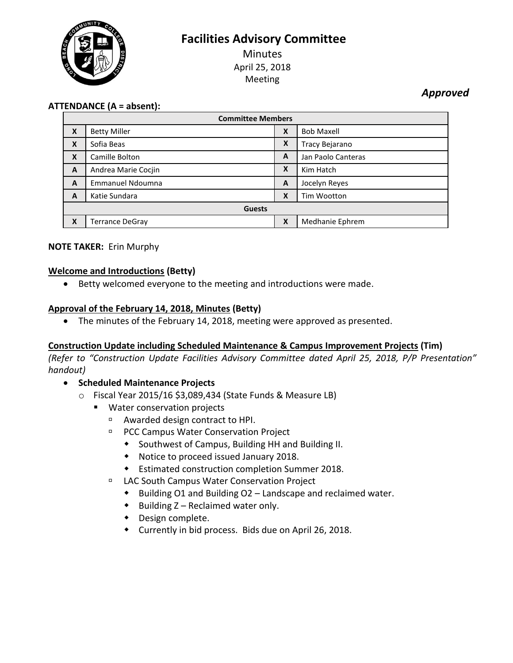

# **Facilities Advisory Committee**

**Minutes** April 25, 2018 Meeting

*Approved*

### **ATTENDANCE (A = absent):**

| <b>Committee Members</b> |                        |   |                    |
|--------------------------|------------------------|---|--------------------|
| X                        | <b>Betty Miller</b>    | X | <b>Bob Maxell</b>  |
| X                        | Sofia Beas             | X | Tracy Bejarano     |
| X                        | Camille Bolton         | A | Jan Paolo Canteras |
| A                        | Andrea Marie Cocjin    | X | Kim Hatch          |
| A                        | Emmanuel Ndoumna       | A | Jocelyn Reyes      |
| A                        | Katie Sundara          | X | Tim Wootton        |
| <b>Guests</b>            |                        |   |                    |
| X                        | <b>Terrance DeGray</b> | X | Medhanie Ephrem    |

#### **NOTE TAKER:** Erin Murphy

#### **Welcome and Introductions (Betty)**

Betty welcomed everyone to the meeting and introductions were made.

#### **Approval of the February 14, 2018, Minutes (Betty)**

The minutes of the February 14, 2018, meeting were approved as presented.

#### **Construction Update including Scheduled Maintenance & Campus Improvement Projects (Tim)**

*(Refer to "Construction Update Facilities Advisory Committee dated April 25, 2018, P/P Presentation" handout)*

- **•** Scheduled Maintenance Projects
	- o Fiscal Year 2015/16 \$3,089,434 (State Funds & Measure LB)
		- **Water conservation projects** 
			- Awarded design contract to HPI.
			- **PCC Campus Water Conservation Project** 
				- Southwest of Campus, Building HH and Building II.
				- Notice to proceed issued January 2018.
				- Estimated construction completion Summer 2018.
			- LAC South Campus Water Conservation Project
				- ◆ Building O1 and Building O2 Landscape and reclaimed water.
				- $\bullet$  Building Z Reclaimed water only.
				- Design complete.
				- Currently in bid process. Bids due on April 26, 2018.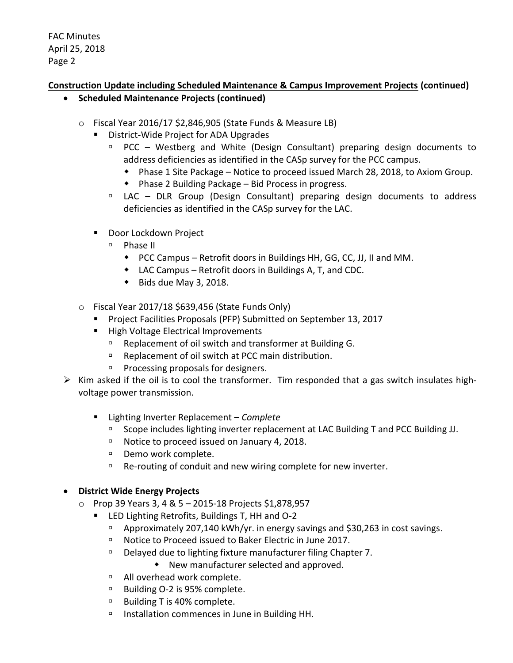## **Construction Update including Scheduled Maintenance & Campus Improvement Projects (continued)**

- **Scheduled Maintenance Projects (continued)**
	- o Fiscal Year 2016/17 \$2,846,905 (State Funds & Measure LB)
		- District-Wide Project for ADA Upgrades
			- $PCC Westberg$  and White (Design Consultant) preparing design documents to address deficiencies as identified in the CASp survey for the PCC campus.
				- Phase 1 Site Package Notice to proceed issued March 28, 2018, to Axiom Group.
				- Phase 2 Building Package Bid Process in progress.
			- <sup>n</sup> LAC DLR Group (Design Consultant) preparing design documents to address deficiencies as identified in the CASp survey for the LAC.
		- Door Lockdown Project
			- $P$ hase II
				- PCC Campus Retrofit doors in Buildings HH, GG, CC, JJ, II and MM.
				- LAC Campus Retrofit doors in Buildings A, T, and CDC.
				- $\bullet$  Bids due May 3, 2018.
	- $\circ$  Fiscal Year 2017/18 \$639,456 (State Funds Only)
		- **Project Facilities Proposals (PFP) Submitted on September 13, 2017**
		- **High Voltage Electrical Improvements** 
			- □ Replacement of oil switch and transformer at Building G.
			- □ Replacement of oil switch at PCC main distribution.
			- $P$  Processing proposals for designers.
- $\triangleright$  Kim asked if the oil is to cool the transformer. Tim responded that a gas switch insulates highvoltage power transmission.
	- Lighting Inverter Replacement *Complete* 
		- □ Scope includes lighting inverter replacement at LAC Building T and PCC Building JJ.
		- □ Notice to proceed issued on January 4, 2018.
		- Demo work complete.
		- $P^{\Box}$  Re-routing of conduit and new wiring complete for new inverter.

#### **District Wide Energy Projects**

- o Prop 39 Years 3, 4 & 5 2015-18 Projects \$1,878,957
	- LED Lighting Retrofits, Buildings T, HH and O-2
		- Approximately 207,140 kWh/yr. in energy savings and \$30,263 in cost savings.
		- □ Notice to Proceed issued to Baker Electric in June 2017.
		- □ Delayed due to lighting fixture manufacturer filing Chapter 7.
			- New manufacturer selected and approved.
		- □ All overhead work complete.
		- □ Building O-2 is 95% complete.
		- □ Building T is 40% complete.
		- $\Box$  Installation commences in June in Building HH.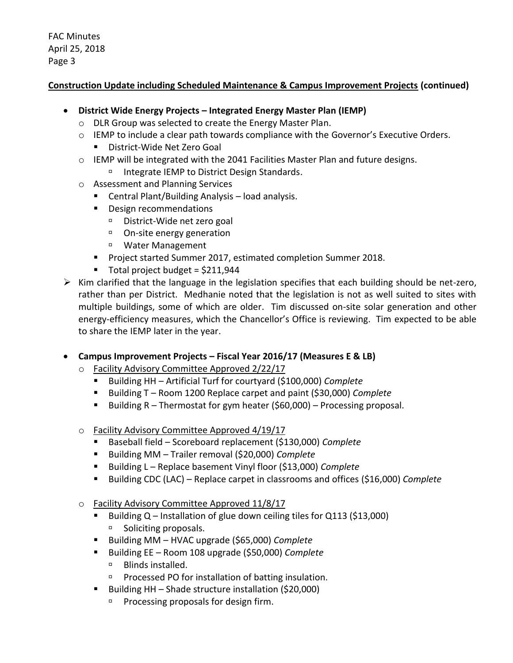### **Construction Update including Scheduled Maintenance & Campus Improvement Projects (continued)**

- **District Wide Energy Projects – Integrated Energy Master Plan (IEMP)**
	- o DLR Group was selected to create the Energy Master Plan.
	- $\circ$  IEMP to include a clear path towards compliance with the Governor's Executive Orders.
		- District-Wide Net Zero Goal
	- o IEMP will be integrated with the 2041 Facilities Master Plan and future designs.
		- □ Integrate IEMP to District Design Standards.
	- o Assessment and Planning Services
		- Central Plant/Building Analysis load analysis.
		- **Design recommendations** 
			- District-Wide net zero goal
			- On-site energy generation
			- Water Management
		- **Project started Summer 2017, estimated completion Summer 2018.**
		- $\blacksquare$  Total project budget = \$211,944
- $\triangleright$  Kim clarified that the language in the legislation specifies that each building should be net-zero, rather than per District. Medhanie noted that the legislation is not as well suited to sites with multiple buildings, some of which are older. Tim discussed on-site solar generation and other energy-efficiency measures, which the Chancellor's Office is reviewing. Tim expected to be able to share the IEMP later in the year.
- **Campus Improvement Projects – Fiscal Year 2016/17 (Measures E & LB)**
	- o Facility Advisory Committee Approved 2/22/17
		- Building HH Artificial Turf for courtyard (\$100,000) *Complete*
		- Building T Room 1200 Replace carpet and paint (\$30,000) *Complete*
		- Building  $R$  Thermostat for gym heater (\$60,000) Processing proposal.
	- o Facility Advisory Committee Approved 4/19/17
		- Baseball field Scoreboard replacement (\$130,000) *Complete*
		- Building MM Trailer removal (\$20,000) *Complete*
		- Building L Replace basement Vinyl floor (\$13,000) *Complete*
		- Building CDC (LAC) Replace carpet in classrooms and offices (\$16,000) *Complete*
	- o Facility Advisory Committee Approved 11/8/17
		- Building  $Q$  Installation of glue down ceiling tiles for  $Q$ 113 (\$13,000) □ Soliciting proposals.
		- Building MM HVAC upgrade (\$65,000) *Complete*
		- Building EE Room 108 upgrade (\$50,000) *Complete*
			- □ Blinds installed.
			- □ Processed PO for installation of batting insulation.
		- Building HH Shade structure installation  $(520,000)$ 
			- **Processing proposals for design firm.**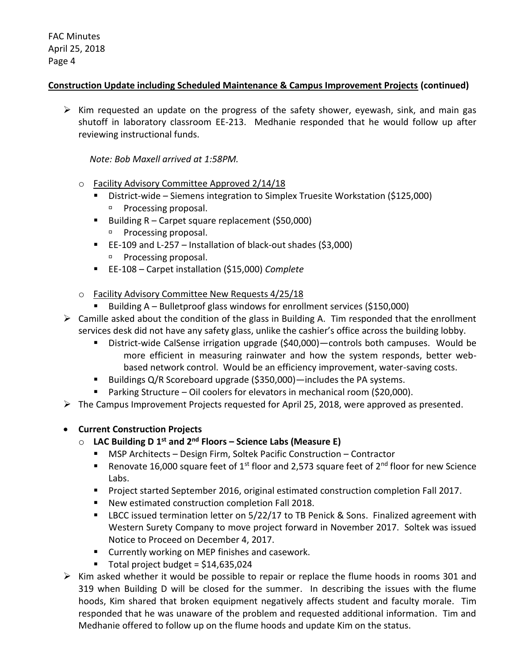#### **Construction Update including Scheduled Maintenance & Campus Improvement Projects (continued)**

 $\triangleright$  Kim requested an update on the progress of the safety shower, eyewash, sink, and main gas shutoff in laboratory classroom EE-213. Medhanie responded that he would follow up after reviewing instructional funds.

#### *Note: Bob Maxell arrived at 1:58PM.*

- o Facility Advisory Committee Approved 2/14/18
	- District-wide Siemens integration to Simplex Truesite Workstation (\$125,000) **Processing proposal.**
	- Building  $R -$  Carpet square replacement (\$50,000) **Processing proposal.**
	- EE-109 and L-257 Installation of black-out shades (\$3,000)
		- <sup>D</sup> Processing proposal.
	- EE-108 Carpet installation (\$15,000) *Complete*
- o Facility Advisory Committee New Requests 4/25/18
	- Building A Bulletproof glass windows for enrollment services (\$150,000)
- $\triangleright$  Camille asked about the condition of the glass in Building A. Tim responded that the enrollment services desk did not have any safety glass, unlike the cashier's office across the building lobby.
	- District-wide CalSense irrigation upgrade (\$40,000)—controls both campuses. Would be more efficient in measuring rainwater and how the system responds, better webbased network control. Would be an efficiency improvement, water-saving costs.
	- Buildings Q/R Scoreboard upgrade (\$350,000)—includes the PA systems.
	- Parking Structure Oil coolers for elevators in mechanical room (\$20,000).
- $\triangleright$  The Campus Improvement Projects requested for April 25, 2018, were approved as presented.

#### **Current Construction Projects**

### o **LAC Building D 1 st and 2nd Floors – Science Labs (Measure E)**

- MSP Architects Design Firm, Soltek Pacific Construction Contractor
- Renovate 16,000 square feet of 1<sup>st</sup> floor and 2,573 square feet of 2<sup>nd</sup> floor for new Science Labs.
- **Project started September 2016, original estimated construction completion Fall 2017.**
- New estimated construction completion Fall 2018.
- **EXTED 15 IDCC** issued termination letter on 5/22/17 to TB Penick & Sons. Finalized agreement with Western Surety Company to move project forward in November 2017. Soltek was issued Notice to Proceed on December 4, 2017.
- **E** Currently working on MEP finishes and casework.
- $\blacksquare$  Total project budget = \$14,635,024
- $\triangleright$  Kim asked whether it would be possible to repair or replace the flume hoods in rooms 301 and 319 when Building D will be closed for the summer. In describing the issues with the flume hoods, Kim shared that broken equipment negatively affects student and faculty morale. Tim responded that he was unaware of the problem and requested additional information. Tim and Medhanie offered to follow up on the flume hoods and update Kim on the status.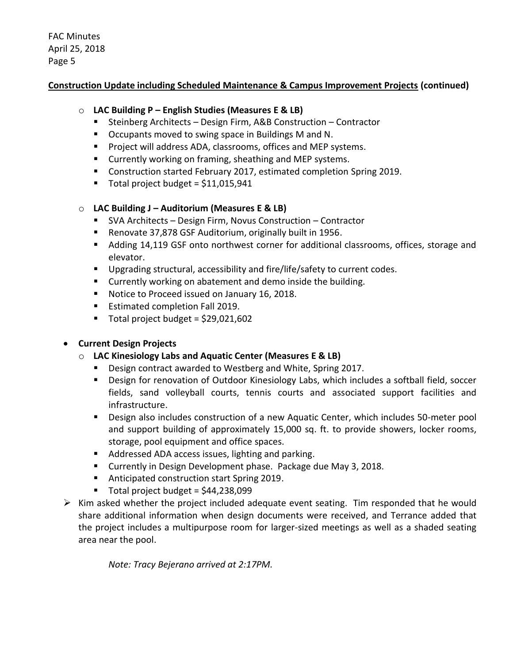### **Construction Update including Scheduled Maintenance & Campus Improvement Projects (continued)**

### o **LAC Building P – English Studies (Measures E & LB)**

- Steinberg Architects Design Firm, A&B Construction Contractor
- Occupants moved to swing space in Buildings M and N.
- **Project will address ADA, classrooms, offices and MEP systems.**
- **EXECUTE:** Currently working on framing, sheathing and MEP systems.
- **Construction started February 2017, estimated completion Spring 2019.**
- Total project budget = \$11,015,941

### o **LAC Building J – Auditorium (Measures E & LB)**

- SVA Architects Design Firm, Novus Construction Contractor
- Renovate 37,878 GSF Auditorium, originally built in 1956.
- Adding 14,119 GSF onto northwest corner for additional classrooms, offices, storage and elevator.
- **Upgrading structural, accessibility and fire/life/safety to current codes.**
- **EXTENUE Currently working on abatement and demo inside the building.**
- **Notice to Proceed issued on January 16, 2018.**
- **Estimated completion Fall 2019.**
- $\blacksquare$  Total project budget = \$29,021,602

# **Current Design Projects**

# o **LAC Kinesiology Labs and Aquatic Center (Measures E & LB)**

- Design contract awarded to Westberg and White, Spring 2017.
- Design for renovation of Outdoor Kinesiology Labs, which includes a softball field, soccer fields, sand volleyball courts, tennis courts and associated support facilities and infrastructure.
- Design also includes construction of a new Aquatic Center, which includes 50-meter pool and support building of approximately 15,000 sq. ft. to provide showers, locker rooms, storage, pool equipment and office spaces.
- Addressed ADA access issues, lighting and parking.
- **E** Currently in Design Development phase. Package due May 3, 2018.
- Anticipated construction start Spring 2019.
- $\blacksquare$  Total project budget = \$44,238,099
- $\triangleright$  Kim asked whether the project included adequate event seating. Tim responded that he would share additional information when design documents were received, and Terrance added that the project includes a multipurpose room for larger-sized meetings as well as a shaded seating area near the pool.

*Note: Tracy Bejerano arrived at 2:17PM.*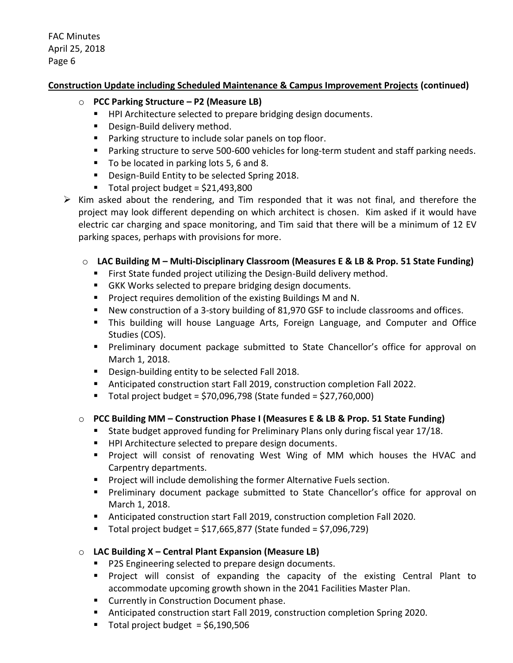### **Construction Update including Scheduled Maintenance & Campus Improvement Projects (continued)**

- o **PCC Parking Structure – P2 (Measure LB)**
	- HPI Architecture selected to prepare bridging design documents.
	- **Design-Build delivery method.**
	- **Parking structure to include solar panels on top floor.**
	- **Parking structure to serve 500-600 vehicles for long-term student and staff parking needs.**
	- To be located in parking lots 5, 6 and 8.
	- **Design-Build Entity to be selected Spring 2018.**
	- $\blacksquare$  Total project budget = \$21,493,800
- $\triangleright$  Kim asked about the rendering, and Tim responded that it was not final, and therefore the project may look different depending on which architect is chosen. Kim asked if it would have electric car charging and space monitoring, and Tim said that there will be a minimum of 12 EV parking spaces, perhaps with provisions for more.

### o **LAC Building M – Multi-Disciplinary Classroom (Measures E & LB & Prop. 51 State Funding)**

- **First State funded project utilizing the Design-Build delivery method.**
- GKK Works selected to prepare bridging design documents.
- **Project requires demolition of the existing Buildings M and N.**
- New construction of a 3-story building of 81,970 GSF to include classrooms and offices.
- This building will house Language Arts, Foreign Language, and Computer and Office Studies (COS).
- **Preliminary document package submitted to State Chancellor's office for approval on** March 1, 2018.
- **Design-building entity to be selected Fall 2018.**
- Anticipated construction start Fall 2019, construction completion Fall 2022.
- $\blacksquare$  Total project budget = \$70,096,798 (State funded = \$27,760,000)

# o **PCC Building MM – Construction Phase I (Measures E & LB & Prop. 51 State Funding)**

- **State budget approved funding for Preliminary Plans only during fiscal year 17/18.**
- **HPI Architecture selected to prepare design documents.**
- **Project will consist of renovating West Wing of MM which houses the HVAC and** Carpentry departments.
- **Project will include demolishing the former Alternative Fuels section.**
- **Preliminary document package submitted to State Chancellor's office for approval on** March 1, 2018.
- Anticipated construction start Fall 2019, construction completion Fall 2020.
- Total project budget = \$17,665,877 (State funded = \$7,096,729)

#### o **LAC Building X – Central Plant Expansion (Measure LB)**

- **P2S Engineering selected to prepare design documents.**
- Project will consist of expanding the capacity of the existing Central Plant to accommodate upcoming growth shown in the 2041 Facilities Master Plan.
- **EXECUTE:** Currently in Construction Document phase.
- Anticipated construction start Fall 2019, construction completion Spring 2020.
- Total project budget  $=$  \$6,190,506